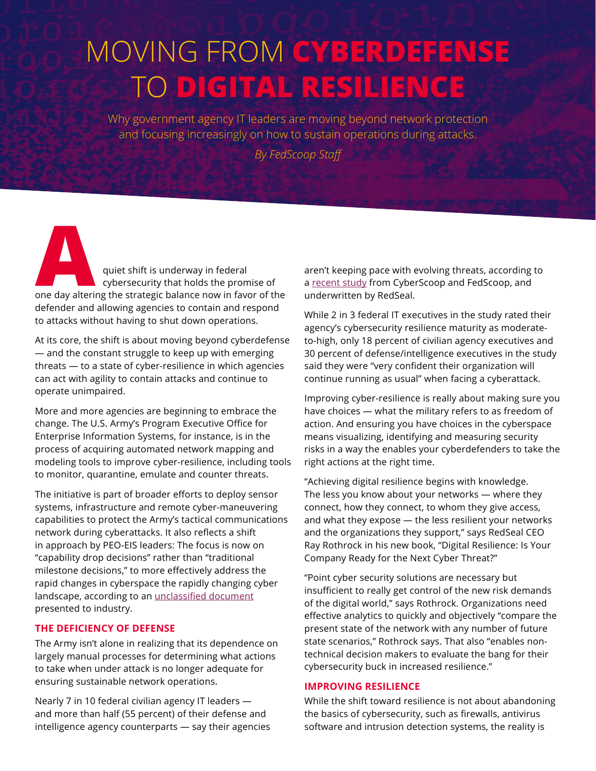# MOVING FROM **CYBERDEFENSE** TO **DIGITAL RESILIENCE**

Why government agency IT leaders are moving beyond network protection and focusing increasingly on how to sustain operations during attacks.

*By FedScoop Staff*

**A** *quiet shift is underway in federal*<br>
one day altering the strategic balance now in favor of the cybersecurity that holds the promise of defender and allowing agencies to contain and respond to attacks without having to shut down operations.

At its core, the shift is about moving beyond cyberdefense — and the constant struggle to keep up with emerging threats — to a state of cyber-resilience in which agencies can act with agility to contain attacks and continue to operate unimpaired.

More and more agencies are beginning to embrace the change. The U.S. Army's Program Executive Office for Enterprise Information Systems, for instance, is in the process of acquiring automated network mapping and modeling tools to improve cyber-resilience, including tools to monitor, quarantine, emulate and counter threats.

The initiative is part of broader efforts to deploy sensor systems, infrastructure and remote cyber-maneuvering capabilities to protect the Army's tactical communications network during cyberattacks. It also reflects a shift in approach by PEO-EIS leaders: The focus is now on "capability drop decisions" rather than "traditional milestone decisions," to more effectively address the rapid changes in cyberspace the rapidly changing cyber landscape, according to an [unclassified document](https://1yxsm73j7aop3quc9y5ifaw3-wpengine.netdna-ssl.com/wp-content/uploads/2017/12/122717_peoeis_c-rapid.pdf) presented to industry.

### **THE DEFICIENCY OF DEFENSE**

The Army isn't alone in realizing that its dependence on largely manual processes for determining what actions to take when under attack is no longer adequate for ensuring sustainable network operations.

Nearly 7 in 10 federal civilian agency IT leaders and more than half (55 percent) of their defense and intelligence agency counterparts — say their agencies aren't keeping pace with evolving threats, according to a [recent study](https://www.redseal.net/cybersecurity-resilience-survey/) from CyberScoop and FedScoop, and underwritten by RedSeal.

While 2 in 3 federal IT executives in the study rated their agency's cybersecurity resilience maturity as moderateto-high, only 18 percent of civilian agency executives and 30 percent of defense/intelligence executives in the study said they were "very confident their organization will continue running as usual" when facing a cyberattack.

Improving cyber-resilience is really about making sure you have choices — what the military refers to as freedom of action. And ensuring you have choices in the cyberspace means visualizing, identifying and measuring security risks in a way the enables your cyberdefenders to take the right actions at the right time.

"Achieving digital resilience begins with knowledge. The less you know about your networks — where they connect, how they connect, to whom they give access, and what they expose — the less resilient your networks and the organizations they support," says RedSeal CEO Ray Rothrock in his new book, "Digital Resilience: Is Your Company Ready for the Next Cyber Threat?"

"Point cyber security solutions are necessary but insufficient to really get control of the new risk demands of the digital world," says Rothrock. Organizations need effective analytics to quickly and objectively "compare the present state of the network with any number of future state scenarios," Rothrock says. That also "enables nontechnical decision makers to evaluate the bang for their cybersecurity buck in increased resilience."

#### **IMPROVING RESILIENCE**

While the shift toward resilience is not about abandoning the basics of cybersecurity, such as firewalls, antivirus software and intrusion detection systems, the reality is